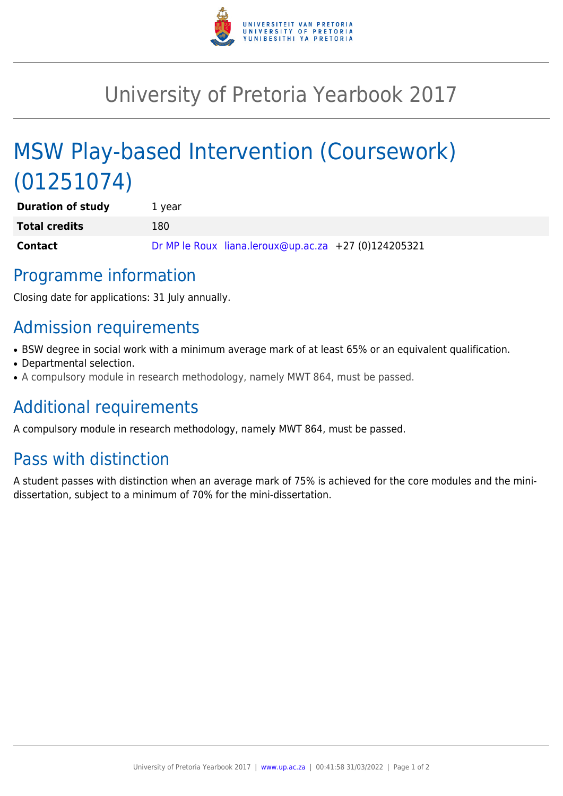

# University of Pretoria Yearbook 2017

# MSW Play-based Intervention (Coursework) (01251074)

| <b>Duration of study</b> | 1 year                                               |
|--------------------------|------------------------------------------------------|
| <b>Total credits</b>     | 180                                                  |
| <b>Contact</b>           | Dr MP le Roux liana.leroux@up.ac.za +27 (0)124205321 |

#### Programme information

Closing date for applications: 31 July annually.

### Admission requirements

- BSW degree in social work with a minimum average mark of at least 65% or an equivalent qualification.
- Departmental selection.
- A compulsory module in research methodology, namely MWT 864, must be passed.

## Additional requirements

A compulsory module in research methodology, namely MWT 864, must be passed.

## Pass with distinction

A student passes with distinction when an average mark of 75% is achieved for the core modules and the minidissertation, subject to a minimum of 70% for the mini-dissertation.